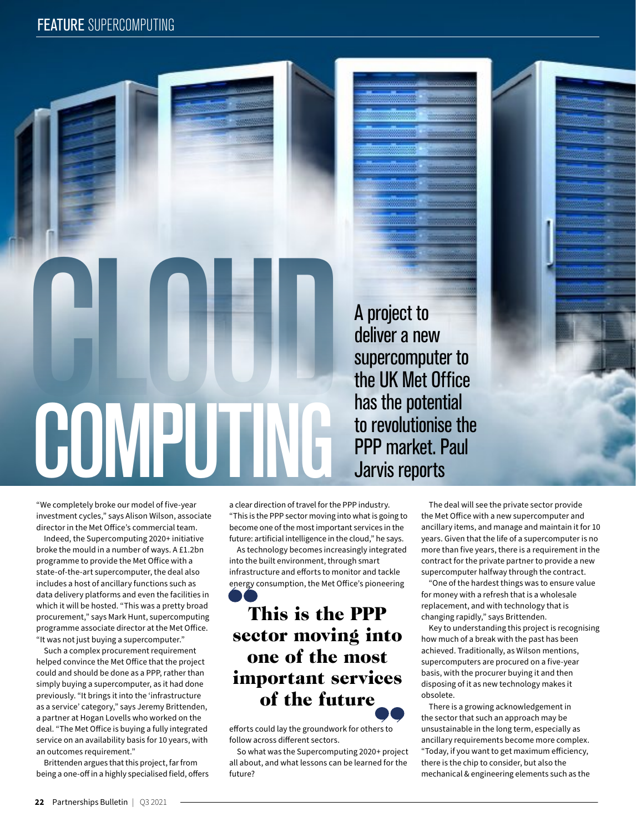

"We completely broke our model of five-year investment cycles," says Alison Wilson, associate director in the Met Office's commercial team.

Indeed, the Supercomputing 2020+ initiative broke the mould in a number of ways. A £1.2bn programme to provide the Met Office with a state-of-the-art supercomputer, the deal also includes a host of ancillary functions such as data delivery platforms and even the facilities in which it will be hosted. "This was a pretty broad procurement," says Mark Hunt, supercomputing programme associate director at the Met Office. "It was not just buying a supercomputer."

Such a complex procurement requirement helped convince the Met Office that the project could and should be done as a PPP, rather than simply buying a supercomputer, as it had done previously. "It brings it into the 'infrastructure as a service' category," says Jeremy Brittenden, a partner at Hogan Lovells who worked on the deal. "The Met Office is buying a fully integrated service on an availability basis for 10 years, with an outcomes requirement."

Brittenden argues that this project, far from being a one-off in a highly specialised field, offers a clear direction of travel for the PPP industry. "This is the PPP sector moving into what is going to become one of the most important services in the future: artificial intelligence in the cloud," he says.

As technology becomes increasingly integrated into the built environment, through smart infrastructure and efforts to monitor and tackle energy consumption, the Met Office's pioneering

## This is the PPP sector moving into one of the most important services of the future

efforts could lay the groundwork for others to follow across different sectors.

So what was the Supercomputing 2020+ project all about, and what lessons can be learned for the future?

The deal will see the private sector provide the Met Office with a new supercomputer and ancillary items, and manage and maintain it for 10 years. Given that the life of a supercomputer is no more than five years, there is a requirement in the contract for the private partner to provide a new supercomputer halfway through the contract.

"One of the hardest things was to ensure value for money with a refresh that is a wholesale replacement, and with technology that is changing rapidly," says Brittenden.

Key to understanding this project is recognising how much of a break with the past has been achieved. Traditionally, as Wilson mentions, supercomputers are procured on a five-year basis, with the procurer buying it and then disposing of it as new technology makes it obsolete.

There is a growing acknowledgement in the sector that such an approach may be unsustainable in the long term, especially as ancillary requirements become more complex. "Today, if you want to get maximum efficiency, there is the chip to consider, but also the mechanical & engineering elements such as the